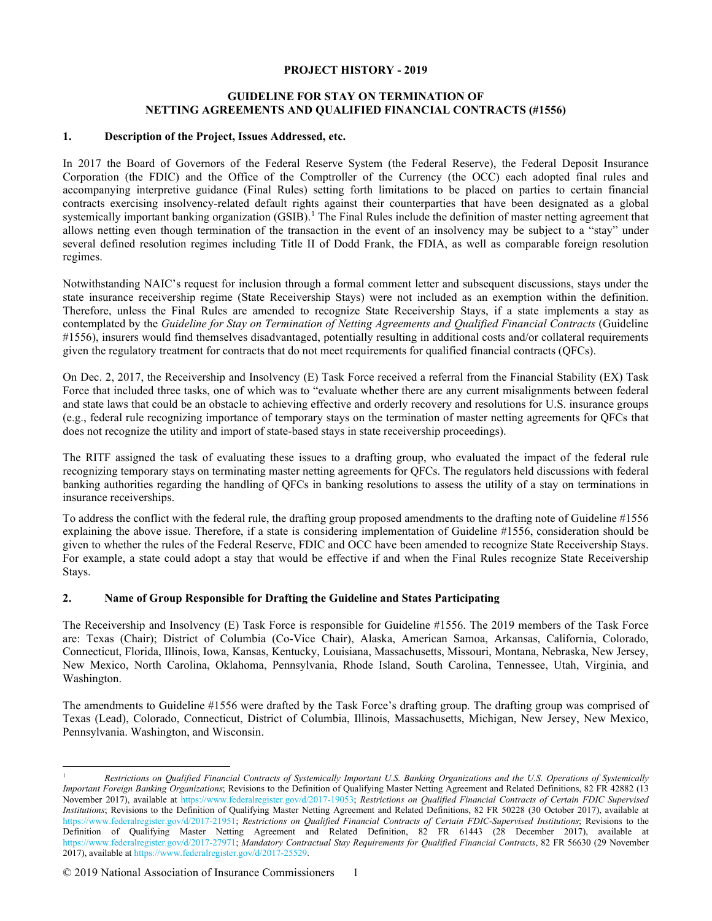#### **PROJECT HISTORY - 2019**

### **GUIDELINE FOR STAY ON TERMINATION OF NETTING AGREEMENTS AND QUALIFIED FINANCIAL CONTRACTS (#1556)**

### **1. Description of the Project, Issues Addressed, etc.**

In 2017 the Board of Governors of the Federal Reserve System (the Federal Reserve), the Federal Deposit Insurance Corporation (the FDIC) and the Office of the Comptroller of the Currency (the OCC) each adopted final rules and accompanying interpretive guidance (Final Rules) setting forth limitations to be placed on parties to certain financial contracts exercising insolvency-related default rights against their counterparties that have been designated as a global systemically important banking organization (GSIB).<sup>[1](#page-0-0)</sup> The Final Rules include the definition of master netting agreement that allows netting even though termination of the transaction in the event of an insolvency may be subject to a "stay" under several defined resolution regimes including Title II of Dodd Frank, the FDIA, as well as comparable foreign resolution regimes.

Notwithstanding NAIC's request for inclusion through a formal comment letter and subsequent discussions, stays under the state insurance receivership regime (State Receivership Stays) were not included as an exemption within the definition. Therefore, unless the Final Rules are amended to recognize State Receivership Stays, if a state implements a stay as contemplated by the *Guideline for Stay on Termination of Netting Agreements and Qualified Financial Contracts* (Guideline #1556), insurers would find themselves disadvantaged, potentially resulting in additional costs and/or collateral requirements given the regulatory treatment for contracts that do not meet requirements for qualified financial contracts (QFCs).

On Dec. 2, 2017, the Receivership and Insolvency (E) Task Force received a referral from the Financial Stability (EX) Task Force that included three tasks, one of which was to "evaluate whether there are any current misalignments between federal and state laws that could be an obstacle to achieving effective and orderly recovery and resolutions for U.S. insurance groups (e.g., federal rule recognizing importance of temporary stays on the termination of master netting agreements for QFCs that does not recognize the utility and import of state-based stays in state receivership proceedings).

The RITF assigned the task of evaluating these issues to a drafting group, who evaluated the impact of the federal rule recognizing temporary stays on terminating master netting agreements for QFCs. The regulators held discussions with federal banking authorities regarding the handling of QFCs in banking resolutions to assess the utility of a stay on terminations in insurance receiverships.

To address the conflict with the federal rule, the drafting group proposed amendments to the drafting note of Guideline #1556 explaining the above issue. Therefore, if a state is considering implementation of Guideline #1556, consideration should be given to whether the rules of the Federal Reserve, FDIC and OCC have been amended to recognize State Receivership Stays. For example, a state could adopt a stay that would be effective if and when the Final Rules recognize State Receivership Stays.

### **2. Name of Group Responsible for Drafting the Guideline and States Participating**

The Receivership and Insolvency (E) Task Force is responsible for Guideline #1556. The 2019 members of the Task Force are: Texas (Chair); District of Columbia (Co-Vice Chair), Alaska, American Samoa, Arkansas, California, Colorado, Connecticut, Florida, Illinois, Iowa, Kansas, Kentucky, Louisiana, Massachusetts, Missouri, Montana, Nebraska, New Jersey, New Mexico, North Carolina, Oklahoma, Pennsylvania, Rhode Island, South Carolina, Tennessee, Utah, Virginia, and Washington.

The amendments to Guideline #1556 were drafted by the Task Force's drafting group. The drafting group was comprised of Texas (Lead), Colorado, Connecticut, District of Columbia, Illinois, Massachusetts, Michigan, New Jersey, New Mexico, Pennsylvania. Washington, and Wisconsin.

<span id="page-0-0"></span><sup>1</sup> *Restrictions on Qualified Financial Contracts of Systemically Important U.S. Banking Organizations and the U.S. Operations of Systemically Important Foreign Banking Organizations*; Revisions to the Definition of Qualifying Master Netting Agreement and Related Definitions, 82 FR 42882 (13 November 2017), available at [https://www.federalregister.gov/d/2017-19053;](https://www.federalregister.gov/d/2017-19053) *Restrictions on Qualified Financial Contracts of Certain FDIC Supervised Institutions*; Revisions to the Definition of Qualifying Master Netting Agreement and Related Definitions, 82 FR 50228 (30 October 2017), available at [https://www.federalregister.gov/d/2017-21951;](https://www.federalregister.gov/d/2017-21951) *Restrictions on Qualified Financial Contracts of Certain FDIC-Supervised Institutions*; Revisions to the Definition of Qualifying Master Netting Agreement and Related Definition, 82 FR 61443 (28 December 2017), available at [https://www.federalregister.gov/d/2017-27971;](https://www.federalregister.gov/d/2017-27971) *Mandatory Contractual Stay Requirements for Qualified Financial Contracts*, 82 FR 56630 (29 November 2017), available a[t https://www.federalregister.gov/d/2017-25529.](https://www.federalregister.gov/d/2017-25529)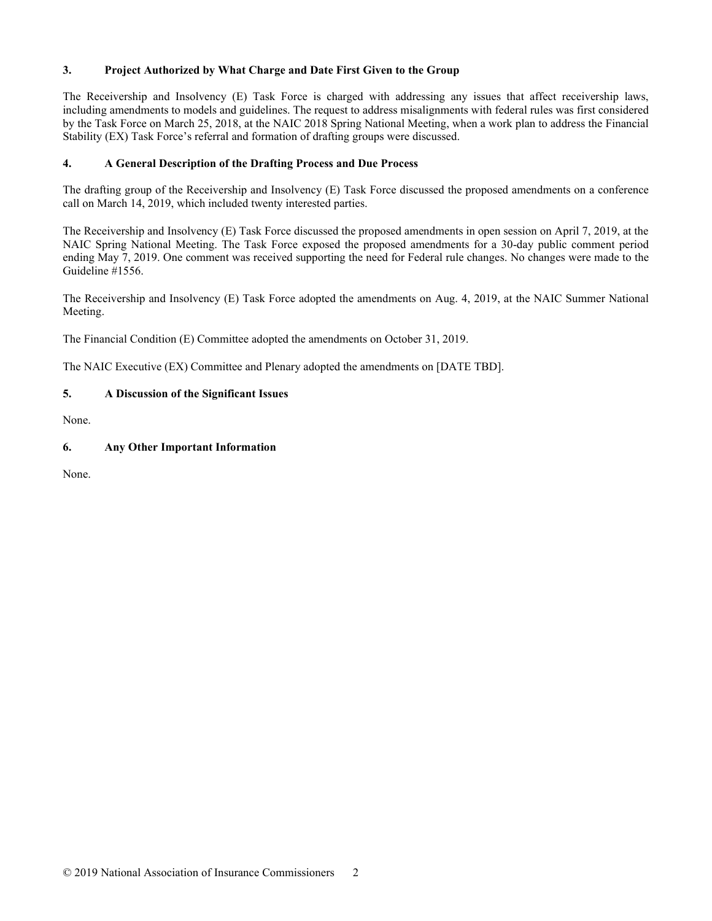## **3. Project Authorized by What Charge and Date First Given to the Group**

The Receivership and Insolvency (E) Task Force is charged with addressing any issues that affect receivership laws, including amendments to models and guidelines. The request to address misalignments with federal rules was first considered by the Task Force on March 25, 2018, at the NAIC 2018 Spring National Meeting, when a work plan to address the Financial Stability (EX) Task Force's referral and formation of drafting groups were discussed.

## **4. A General Description of the Drafting Process and Due Process**

The drafting group of the Receivership and Insolvency (E) Task Force discussed the proposed amendments on a conference call on March 14, 2019, which included twenty interested parties.

The Receivership and Insolvency (E) Task Force discussed the proposed amendments in open session on April 7, 2019, at the NAIC Spring National Meeting. The Task Force exposed the proposed amendments for a 30-day public comment period ending May 7, 2019. One comment was received supporting the need for Federal rule changes. No changes were made to the Guideline #1556.

The Receivership and Insolvency (E) Task Force adopted the amendments on Aug. 4, 2019, at the NAIC Summer National Meeting.

The Financial Condition (E) Committee adopted the amendments on October 31, 2019.

The NAIC Executive (EX) Committee and Plenary adopted the amendments on [DATE TBD].

# **5. A Discussion of the Significant Issues**

None.

# **6. Any Other Important Information**

None.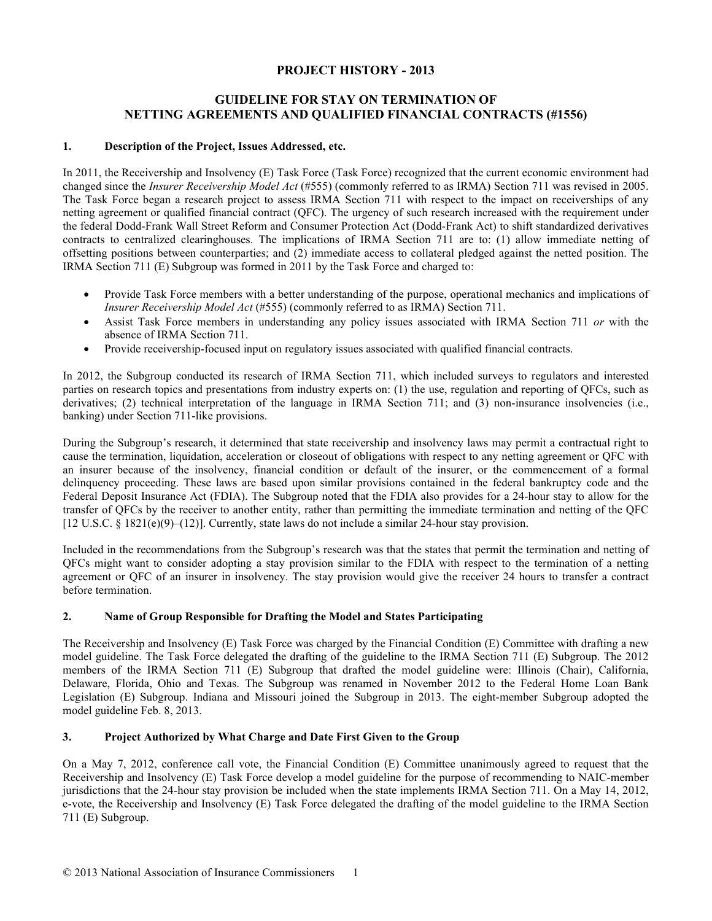# **PROJECT HISTORY - 2013**

# **GUIDELINE FOR STAY ON TERMINATION OF NETTING AGREEMENTS AND QUALIFIED FINANCIAL CONTRACTS (#1556)**

### **1. Description of the Project, Issues Addressed, etc.**

In 2011, the Receivership and Insolvency (E) Task Force (Task Force) recognized that the current economic environment had changed since the *Insurer Receivership Model Act* (#555) (commonly referred to as IRMA) Section 711 was revised in 2005. The Task Force began a research project to assess IRMA Section 711 with respect to the impact on receiverships of any netting agreement or qualified financial contract (QFC). The urgency of such research increased with the requirement under the federal Dodd-Frank Wall Street Reform and Consumer Protection Act (Dodd-Frank Act) to shift standardized derivatives contracts to centralized clearinghouses. The implications of IRMA Section 711 are to: (1) allow immediate netting of offsetting positions between counterparties; and (2) immediate access to collateral pledged against the netted position. The IRMA Section 711 (E) Subgroup was formed in 2011 by the Task Force and charged to:

- Provide Task Force members with a better understanding of the purpose, operational mechanics and implications of *Insurer Receivership Model Act* (#555) (commonly referred to as IRMA) Section 711.
- Assist Task Force members in understanding any policy issues associated with IRMA Section 711 *or* with the absence of IRMA Section 711.
- Provide receivership-focused input on regulatory issues associated with qualified financial contracts.

In 2012, the Subgroup conducted its research of IRMA Section 711, which included surveys to regulators and interested parties on research topics and presentations from industry experts on: (1) the use, regulation and reporting of QFCs, such as derivatives; (2) technical interpretation of the language in IRMA Section 711; and (3) non-insurance insolvencies (i.e., banking) under Section 711-like provisions.

During the Subgroup's research, it determined that state receivership and insolvency laws may permit a contractual right to cause the termination, liquidation, acceleration or closeout of obligations with respect to any netting agreement or QFC with an insurer because of the insolvency, financial condition or default of the insurer, or the commencement of a formal delinquency proceeding. These laws are based upon similar provisions contained in the federal bankruptcy code and the Federal Deposit Insurance Act (FDIA). The Subgroup noted that the FDIA also provides for a 24-hour stay to allow for the transfer of QFCs by the receiver to another entity, rather than permitting the immediate termination and netting of the QFC [12 U.S.C. § 1821(e)(9)–(12)]. Currently, state laws do not include a similar 24-hour stay provision.

Included in the recommendations from the Subgroup's research was that the states that permit the termination and netting of QFCs might want to consider adopting a stay provision similar to the FDIA with respect to the termination of a netting agreement or QFC of an insurer in insolvency. The stay provision would give the receiver 24 hours to transfer a contract before termination.

### **2. Name of Group Responsible for Drafting the Model and States Participating**

The Receivership and Insolvency (E) Task Force was charged by the Financial Condition (E) Committee with drafting a new model guideline. The Task Force delegated the drafting of the guideline to the IRMA Section 711 (E) Subgroup. The 2012 members of the IRMA Section 711 (E) Subgroup that drafted the model guideline were: Illinois (Chair), California, Delaware, Florida, Ohio and Texas. The Subgroup was renamed in November 2012 to the Federal Home Loan Bank Legislation (E) Subgroup. Indiana and Missouri joined the Subgroup in 2013. The eight-member Subgroup adopted the model guideline Feb. 8, 2013.

### **3. Project Authorized by What Charge and Date First Given to the Group**

On a May 7, 2012, conference call vote, the Financial Condition (E) Committee unanimously agreed to request that the Receivership and Insolvency (E) Task Force develop a model guideline for the purpose of recommending to NAIC-member jurisdictions that the 24-hour stay provision be included when the state implements IRMA Section 711. On a May 14, 2012, e-vote, the Receivership and Insolvency (E) Task Force delegated the drafting of the model guideline to the IRMA Section 711 (E) Subgroup.